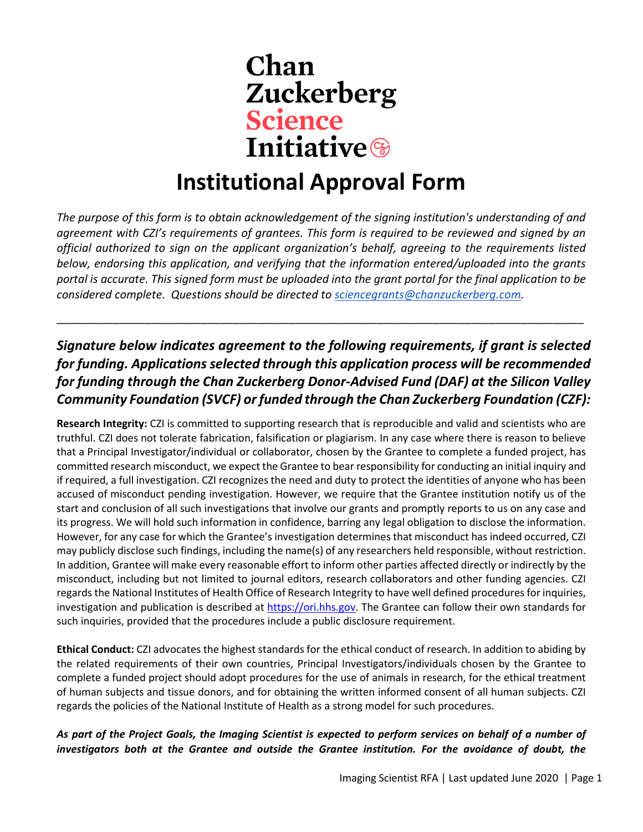

## **Institutional Approval Form**

*The purpose of this form is to obtain acknowledgement of the signing institution's understanding of and agreement with CZI's requirements of grantees. This form is required to be reviewed and signed by an official authorized to sign on the applicant organization's behalf, agreeing to the requirements listed below, endorsing this application, and verifying that the information entered/uploaded into the grants portal is accurate. This signed form must be uploaded into the grant portal for the final application to be considered complete. Questions should be directed to [sciencegrants@chanzuckerberg.com.](mailto:sciencegrants@chanzuckerberg.com)* 

*Signature below indicates agreement to the following requirements, if grant is selected for funding. Applications selected through this application process will be recommended for funding through the Chan Zuckerberg Donor-Advised Fund (DAF) at the Silicon Valley Community Foundation (SVCF) or funded through the Chan Zuckerberg Foundation (CZF):*

\_\_\_\_\_\_\_\_\_\_\_\_\_\_\_\_\_\_\_\_\_\_\_\_\_\_\_\_\_\_\_\_\_\_\_\_\_\_\_\_\_\_\_\_\_\_\_\_\_\_\_\_\_\_\_\_\_\_\_\_\_\_\_\_\_\_\_\_\_\_\_\_\_\_\_\_\_\_\_\_\_\_\_\_

**Research Integrity:** CZI is committed to supporting research that is reproducible and valid and scientists who are truthful. CZI does not tolerate fabrication, falsification or plagiarism. In any case where there is reason to believe that a Principal Investigator/individual or collaborator, chosen by the Grantee to complete a funded project, has committed research misconduct, we expect the Grantee to bear responsibility for conducting an initial inquiry and if required, a full investigation. CZI recognizes the need and duty to protect the identities of anyone who has been accused of misconduct pending investigation. However, we require that the Grantee institution notify us of the start and conclusion of all such investigations that involve our grants and promptly reports to us on any case and its progress. We will hold such information in confidence, barring any legal obligation to disclose the information. However, for any case for which the Grantee's investigation determines that misconduct has indeed occurred, CZI may publicly disclose such findings, including the name(s) of any researchers held responsible, without restriction. In addition, Grantee will make every reasonable effort to inform other parties affected directly or indirectly by the misconduct, including but not limited to journal editors, research collaborators and other funding agencies. CZI regards the National Institutes of Health Office of Research Integrity to have well defined procedures for inquiries, investigation and publication is described at [https://ori.hhs.gov.](https://ori.hhs.gov/) The Grantee can follow their own standards for such inquiries, provided that the procedures include a public disclosure requirement.

**Ethical Conduct:** CZI advocates the highest standards for the ethical conduct of research. In addition to abiding by the related requirements of their own countries, Principal Investigators/individuals chosen by the Grantee to complete a funded project should adopt procedures for the use of animals in research, for the ethical treatment of human subjects and tissue donors, and for obtaining the written informed consent of all human subjects. CZI regards the policies of the National Institute of Health as a strong model for such procedures.

*As part of the Project Goals, the Imaging Scientist is expected to perform services on behalf of a number of investigators both at the Grantee and outside the Grantee institution. For the avoidance of doubt, the*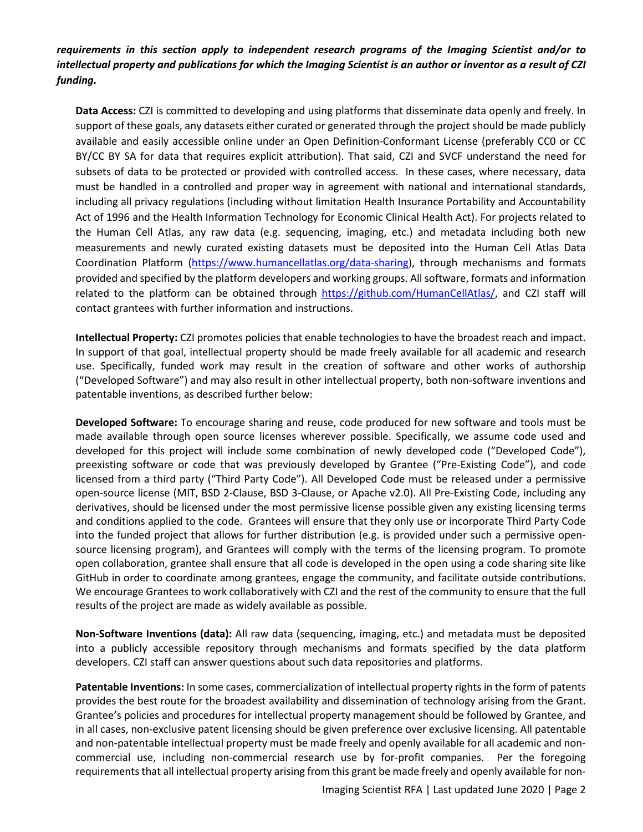*requirements in this section apply to independent research programs of the Imaging Scientist and/or to intellectual property and publications for which the Imaging Scientist is an author or inventor as a result of CZI funding.*

**Data Access:** CZI is committed to developing and using platforms that disseminate data openly and freely. In support of these goals, any datasets either curated or generated through the project should be made publicly available and easily accessible online under an Open Definition-Conformant License (preferably CC0 or CC BY/CC BY SA for data that requires explicit attribution). That said, CZI and SVCF understand the need for subsets of data to be protected or provided with controlled access. In these cases, where necessary, data must be handled in a controlled and proper way in agreement with national and international standards, including all privacy regulations (including without limitation Health Insurance Portability and Accountability Act of 1996 and the Health Information Technology for Economic Clinical Health Act). For projects related to the Human Cell Atlas, any raw data (e.g. sequencing, imaging, etc.) and metadata including both new measurements and newly curated existing datasets must be deposited into the Human Cell Atlas Data Coordination Platform [\(https://www.humancellatlas.org/data-sharing\)](https://www.humancellatlas.org/data-sharing), through mechanisms and formats provided and specified by the platform developers and working groups. All software, formats and information related to the platform can be obtained through [https://github.com/HumanCellAtlas/,](https://github.com/HumanCellAtlas/) and CZI staff will contact grantees with further information and instructions.

**Intellectual Property:** CZI promotes policies that enable technologies to have the broadest reach and impact. In support of that goal, intellectual property should be made freely available for all academic and research use. Specifically, funded work may result in the creation of software and other works of authorship ("Developed Software") and may also result in other intellectual property, both non-software inventions and patentable inventions, as described further below:

**Developed Software:** To encourage sharing and reuse, code produced for new software and tools must be made available through open source licenses wherever possible. Specifically, we assume code used and developed for this project will include some combination of newly developed code ("Developed Code"), preexisting software or code that was previously developed by Grantee ("Pre-Existing Code"), and code licensed from a third party ("Third Party Code"). All Developed Code must be released under a permissive open-source license (MIT, BSD 2-Clause, BSD 3-Clause, or Apache v2.0). All Pre-Existing Code, including any derivatives, should be licensed under the most permissive license possible given any existing licensing terms and conditions applied to the code. Grantees will ensure that they only use or incorporate Third Party Code into the funded project that allows for further distribution (e.g. is provided under such a permissive opensource licensing program), and Grantees will comply with the terms of the licensing program. To promote open collaboration, grantee shall ensure that all code is developed in the open using a code sharing site like GitHub in order to coordinate among grantees, engage the community, and facilitate outside contributions. We encourage Grantees to work collaboratively with CZI and the rest of the community to ensure that the full results of the project are made as widely available as possible.

**Non-Software Inventions (data):** All raw data (sequencing, imaging, etc.) and metadata must be deposited into a publicly accessible repository through mechanisms and formats specified by the data platform developers. CZI staff can answer questions about such data repositories and platforms.

**Patentable Inventions:** In some cases, commercialization of intellectual property rights in the form of patents provides the best route for the broadest availability and dissemination of technology arising from the Grant. Grantee's policies and procedures for intellectual property management should be followed by Grantee, and in all cases, non-exclusive patent licensing should be given preference over exclusive licensing. All patentable and non-patentable intellectual property must be made freely and openly available for all academic and noncommercial use, including non-commercial research use by for-profit companies. Per the foregoing requirements that all intellectual property arising from this grant be made freely and openly available for non